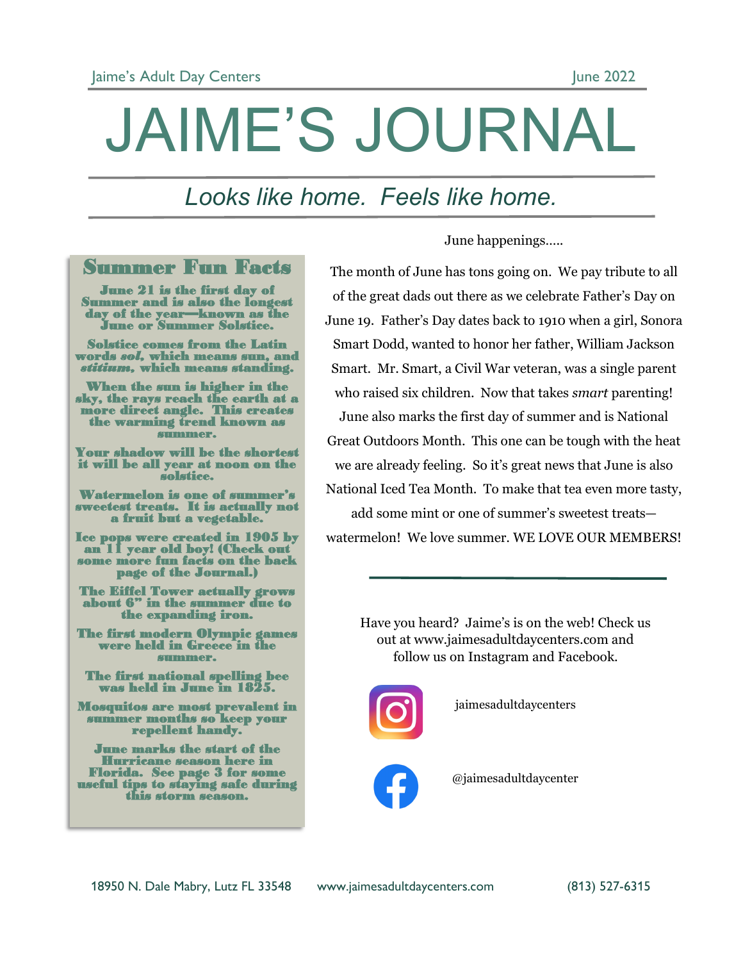## JAIME'S JOURNAL

### *Looks like home. Feels like home.*

#### Summer Fun Facts

June 21 is the first day of Summer and is also the longest day of the year—known as the June or Summer Solstice.

Solstice comes from the Latin words *sol,* which means sun, and *stitium,* which means standing.

When the sun is higher in the sky, the rays reach the earth at a more direct angle. This creates the warming trend known as summer.

Your shadow will be the shortest it will be all year at noon on the solstice.

Watermelon is one of summer's sweetest treats. It is actually not a fruit but a vegetable.

Ice pops were created in 1905 by an 11 year old boy! (Check out some more fun facts on the back page of the Journal.)

The Eiffel Tower actually grows about 6" in the summer due to the expanding iron.

The first modern Olympic games were held in Greece in the summer.

The first national spelling bee was held in June in 1825.

Mosquitos are most prevalent in summer months so keep your repellent handy.

June marks the start of the Hurricane season here in Florida. See page 3 for some useful tips to staying safe during this storm season.

June happenings…..

The month of June has tons going on. We pay tribute to all of the great dads out there as we celebrate Father's Day on June 19. Father's Day dates back to 1910 when a girl, Sonora Smart Dodd, wanted to honor her father, William Jackson Smart. Mr. Smart, a Civil War veteran, was a single parent who raised six children. Now that takes *smart* parenting! June also marks the first day of summer and is National Great Outdoors Month. This one can be tough with the heat we are already feeling. So it's great news that June is also National Iced Tea Month. To make that tea even more tasty, add some mint or one of summer's sweetest treats watermelon! We love summer. WE LOVE OUR MEMBERS!

Have you heard? Jaime's is on the web! Check us out at www.jaimesadultdaycenters.com and follow us on Instagram and Facebook.



jaimesadultdaycenters



@jaimesadultdaycenter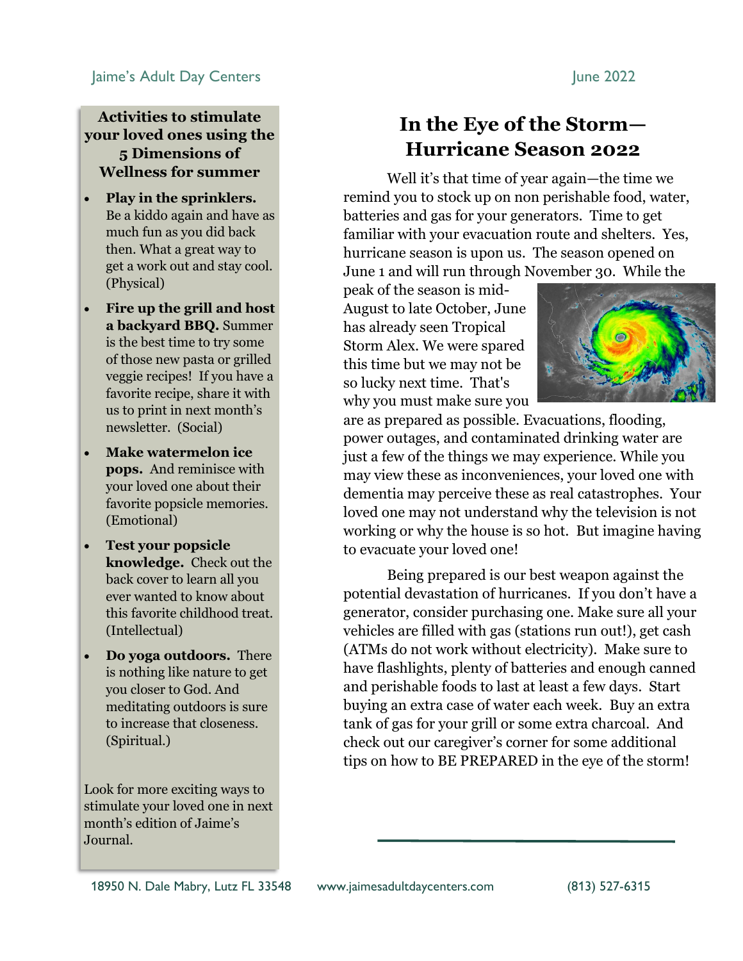#### **Activities to stimulate your loved ones using the 5 Dimensions of Wellness for summer**

- **Play in the sprinklers.**  Be a kiddo again and have as much fun as you did back then. What a great way to get a work out and stay cool. (Physical)
- **Fire up the grill and host a backyard BBQ.** Summer is the best time to try some of those new pasta or grilled veggie recipes! If you have a favorite recipe, share it with us to print in next month's newsletter. (Social)
- **Make watermelon ice pops.** And reminisce with your loved one about their favorite popsicle memories. (Emotional)
- **Test your popsicle knowledge.** Check out the back cover to learn all you ever wanted to know about this favorite childhood treat. (Intellectual)
- **Do yoga outdoors.** There is nothing like nature to get you closer to God. And meditating outdoors is sure to increase that closeness. (Spiritual.)

Look for more exciting ways to stimulate your loved one in next month's edition of Jaime's Journal.

#### **In the Eye of the Storm— Hurricane Season 2022**

Well it's that time of year again—the time we remind you to stock up on non perishable food, water, batteries and gas for your generators. Time to get familiar with your evacuation route and shelters. Yes, hurricane season is upon us. The season opened on June 1 and will run through November 30. While the

peak of the season is mid-August to late October, June has already seen Tropical Storm Alex. We were spared this time but we may not be so lucky next time. That's why you must make sure you



are as prepared as possible. Evacuations, flooding, power outages, and contaminated drinking water are just a few of the things we may experience. While you may view these as inconveniences, your loved one with dementia may perceive these as real catastrophes. Your loved one may not understand why the television is not working or why the house is so hot. But imagine having to evacuate your loved one!

Being prepared is our best weapon against the potential devastation of hurricanes. If you don't have a generator, consider purchasing one. Make sure all your vehicles are filled with gas (stations run out!), get cash (ATMs do not work without electricity). Make sure to have flashlights, plenty of batteries and enough canned and perishable foods to last at least a few days. Start buying an extra case of water each week. Buy an extra tank of gas for your grill or some extra charcoal. And check out our caregiver's corner for some additional tips on how to BE PREPARED in the eye of the storm!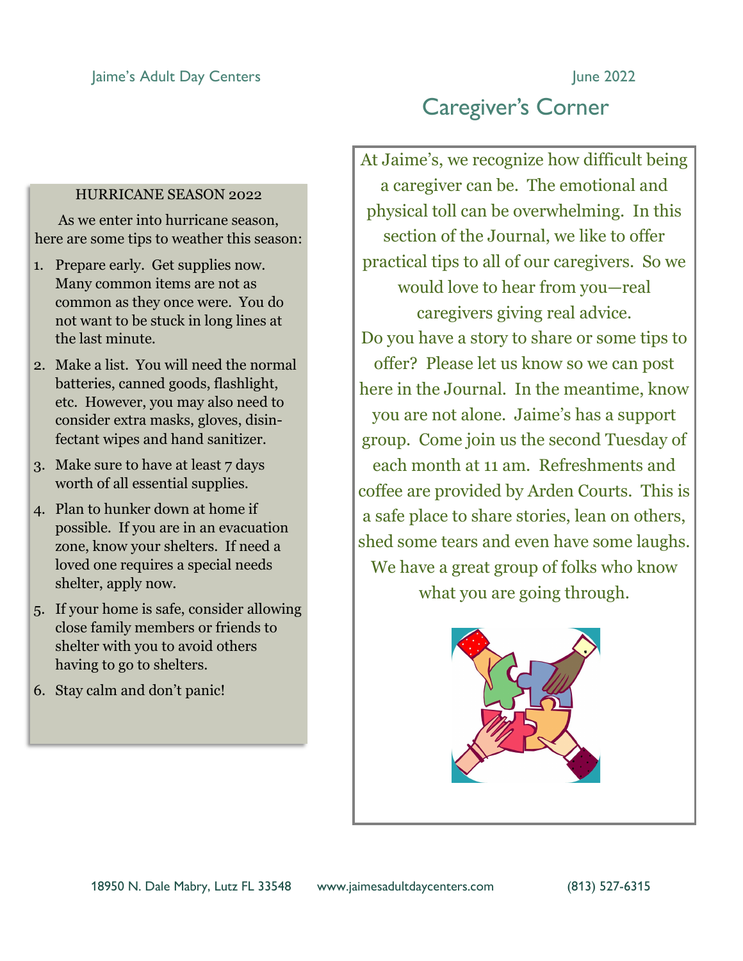#### HURRICANE SEASON 2022

As we enter into hurricane season, here are some tips to weather this season:

- 1. Prepare early. Get supplies now. Many common items are not as common as they once were. You do not want to be stuck in long lines at the last minute.
- 2. Make a list. You will need the normal batteries, canned goods, flashlight, etc. However, you may also need to consider extra masks, gloves, disinfectant wipes and hand sanitizer.
- 3. Make sure to have at least 7 days worth of all essential supplies.
- 4. Plan to hunker down at home if possible. If you are in an evacuation zone, know your shelters. If need a loved one requires a special needs shelter, apply now.
- 5. If your home is safe, consider allowing close family members or friends to shelter with you to avoid others having to go to shelters.
- 6. Stay calm and don't panic!

#### Caregiver's Corner

At Jaime's, we recognize how difficult being a caregiver can be. The emotional and physical toll can be overwhelming. In this section of the Journal, we like to offer practical tips to all of our caregivers. So we would love to hear from you—real caregivers giving real advice. Do you have a story to share or some tips to offer? Please let us know so we can post here in the Journal. In the meantime, know you are not alone. Jaime's has a support group. Come join us the second Tuesday of each month at 11 am. Refreshments and coffee are provided by Arden Courts. This is a safe place to share stories, lean on others, shed some tears and even have some laughs. We have a great group of folks who know what you are going through.